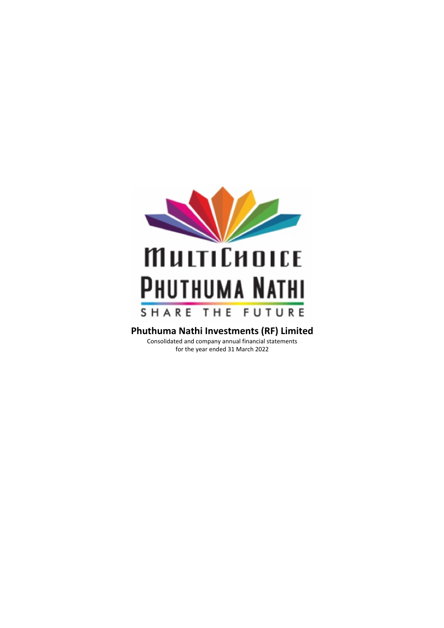

for the year ended 31 March 2022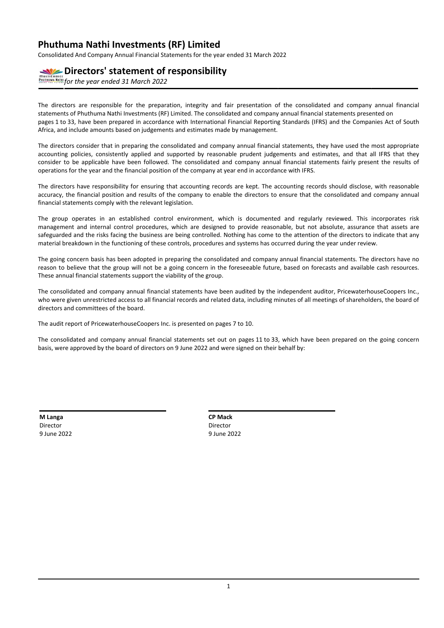Consolidated And Company Annual Financial Statements for the year ended 31 March 2022

# **Directors' statement of responsibility**

*for the year ended 31 March 2022*

The directors are responsible for the preparation, integrity and fair presentation of the consolidated and company annual financial statements of Phuthuma Nathi Investments (RF) Limited. The consolidated and company annual financial statements presented on pages 1 to 33, have been prepared in accordance with International Financial Reporting Standards (IFRS) and the Companies Act of South Africa, and include amounts based on judgements and estimates made by management.

The directors consider that in preparing the consolidated and company annual financial statements, they have used the most appropriate accounting policies, consistently applied and supported by reasonable prudent judgements and estimates, and that all IFRS that they consider to be applicable have been followed. The consolidated and company annual financial statements fairly present the results of operations for the year and the financial position of the company at year end in accordance with IFRS.

The directors have responsibility for ensuring that accounting records are kept. The accounting records should disclose, with reasonable accuracy, the financial position and results of the company to enable the directors to ensure that the consolidated and company annual financial statements comply with the relevant legislation.

The group operates in an established control environment, which is documented and regularly reviewed. This incorporates risk management and internal control procedures, which are designed to provide reasonable, but not absolute, assurance that assets are safeguarded and the risks facing the business are being controlled. Nothing has come to the attention of the directors to indicate that any material breakdown in the functioning of these controls, procedures and systems has occurred during the year under review.

The going concern basis has been adopted in preparing the consolidated and company annual financial statements. The directors have no reason to believe that the group will not be a going concern in the foreseeable future, based on forecasts and available cash resources. These annual financial statements support the viability of the group.

The consolidated and company annual financial statements have been audited by the independent auditor, PricewaterhouseCoopers Inc., who were given unrestricted access to all financial records and related data, including minutes of all meetings of shareholders, the board of directors and committees of the board.

The audit report of PricewaterhouseCoopers Inc. is presented on pages 7 to 10.

The consolidated and company annual financial statements set out on pages 11 to 33, which have been prepared on the going concern basis, were approved by the board of directors on 9 June 2022 and were signed on their behalf by:

**M Langa** Director 9 June 2022

| <b>Mack</b> | - |
|-------------|---|

Director 9 June 2022

**CP Mack**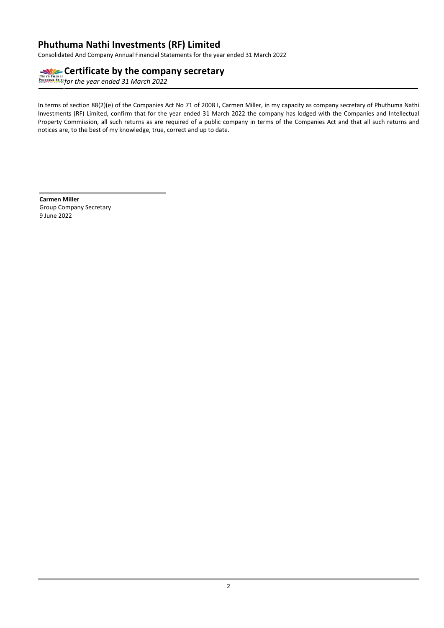Consolidated And Company Annual Financial Statements for the year ended 31 March 2022

# **Certificate by the company secretary**

*for the year ended 31 March 2022*

In terms of section 88(2)(e) of the Companies Act No 71 of 2008 I, Carmen Miller, in my capacity as company secretary of Phuthuma Nathi Investments (RF) Limited, confirm that for the year ended 31 March 2022 the company has lodged with the Companies and Intellectual Property Commission, all such returns as are required of a public company in terms of the Companies Act and that all such returns and notices are, to the best of my knowledge, true, correct and up to date.

**Carmen Miller** Group Company Secretary 9 June 2022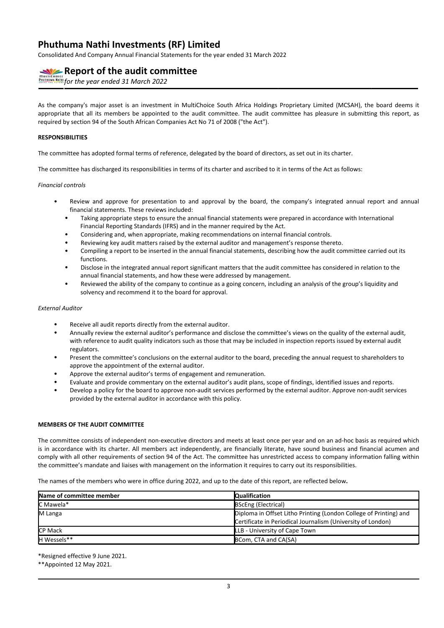Consolidated And Company Annual Financial Statements for the year ended 31 March 2022

# **Report of the audit committee**

**FOR THE YEAR 1998 POLITIC REPAIRING THE YEAR OF STATE PROPERTY AND THE PROPERTY OF THE YEAR OF 2022** 

As the company's major asset is an investment in MultiChoice South Africa Holdings Proprietary Limited (MCSAH), the board deems it appropriate that all its members be appointed to the audit committee. The audit committee has pleasure in submitting this report, as required by section 94 of the South African Companies Act No 71 of 2008 ("the Act").

### **RESPONSIBILITIES**

The committee has adopted formal terms of reference, delegated by the board of directors, as set out in its charter.

The committee has discharged its responsibilities in terms of its charter and ascribed to it in terms of the Act as follows:

#### *Financial controls*

- Review and approve for presentation to and approval by the board, the company's integrated annual report and annual financial statements. These reviews included:
	- Taking appropriate steps to ensure the annual financial statements were prepared in accordance with International Financial Reporting Standards (IFRS) and in the manner required by the Act.
	- Considering and, when appropriate, making recommendations on internal financial controls.
	- Reviewing key audit matters raised by the external auditor and management's response thereto.
	- Compiling a report to be inserted in the annual financial statements, describing how the audit committee carried out its functions.
	- Disclose in the integrated annual report significant matters that the audit committee has considered in relation to the annual financial statements, and how these were addressed by management.
	- Reviewed the ability of the company to continue as a going concern, including an analysis of the group's liquidity and solvency and recommend it to the board for approval.

#### *External Auditor*

- Receive all audit reports directly from the external auditor.
- Annually review the external auditor's performance and disclose the committee's views on the quality of the external audit, with reference to audit quality indicators such as those that may be included in inspection reports issued by external audit regulators.
- Present the committee's conclusions on the external auditor to the board, preceding the annual request to shareholders to approve the appointment of the external auditor.
- Approve the external auditor's terms of engagement and remuneration.
- Evaluate and provide commentary on the external auditor's audit plans, scope of findings, identified issues and reports.
- Develop a policy for the board to approve non-audit services performed by the external auditor. Approve non-audit services provided by the external auditor in accordance with this policy.

### **MEMBERS OF THE AUDIT COMMITTEE**

The committee consists of independent non-executive directors and meets at least once per year and on an ad-hoc basis as required which is in accordance with its charter. All members act independently, are financially literate, have sound business and financial acumen and comply with all other requirements of section 94 of the Act. The committee has unrestricted access to company information falling within the committee's mandate and liaises with management on the information it requires to carry out its responsibilities.

The names of the members who were in office during 2022, and up to the date of this report, are reflected below**.**

| Name of committee member | <b>Qualification</b>                                                                                                             |
|--------------------------|----------------------------------------------------------------------------------------------------------------------------------|
| C Mawela*                | <b>BScEng (Electrical)</b>                                                                                                       |
| M Langa                  | Diploma in Offset Litho Printing (London College of Printing) and<br>Certificate in Periodical Journalism (University of London) |
| <b>CP Mack</b>           | LLB - University of Cape Town                                                                                                    |
| <b>H</b> Wessels**       | BCom, CTA and CA(SA)                                                                                                             |

\*Resigned effective 9 June 2021.

\*\*Appointed 12 May 2021.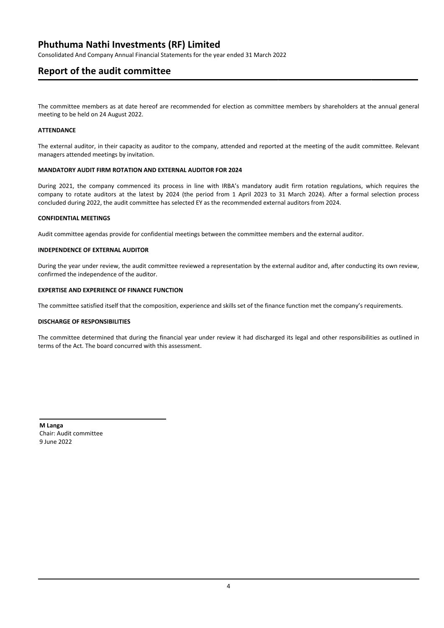Consolidated And Company Annual Financial Statements for the year ended 31 March 2022

# **Report of the audit committee**

The committee members as at date hereof are recommended for election as committee members by shareholders at the annual general meeting to be held on 24 August 2022.

### **ATTENDANCE**

The external auditor, in their capacity as auditor to the company, attended and reported at the meeting of the audit committee. Relevant managers attended meetings by invitation.

### **MANDATORY AUDIT FIRM ROTATION AND EXTERNAL AUDITOR FOR 2024**

During 2021, the company commenced its process in line with IRBA's mandatory audit firm rotation regulations, which requires the company to rotate auditors at the latest by 2024 (the period from 1 April 2023 to 31 March 2024). After a formal selection process concluded during 2022, the audit committee has selected EY as the recommended external auditors from 2024.

### **CONFIDENTIAL MEETINGS**

Audit committee agendas provide for confidential meetings between the committee members and the external auditor.

### **INDEPENDENCE OF EXTERNAL AUDITOR**

During the year under review, the audit committee reviewed a representation by the external auditor and, after conducting its own review, confirmed the independence of the auditor.

### **EXPERTISE AND EXPERIENCE OF FINANCE FUNCTION**

The committee satisfied itself that the composition, experience and skills set of the finance function met the company's requirements.

### **DISCHARGE OF RESPONSIBILITIES**

The committee determined that during the financial year under review it had discharged its legal and other responsibilities as outlined in terms of the Act. The board concurred with this assessment.

**M Langa** Chair: Audit committee 9 June 2022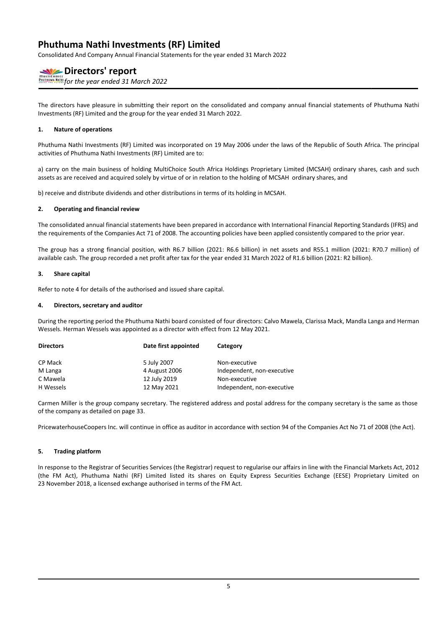Consolidated And Company Annual Financial Statements for the year ended 31 March 2022

# **Directors' report**

*for the year ended 31 March 2022*

The directors have pleasure in submitting their report on the consolidated and company annual financial statements of Phuthuma Nathi Investments (RF) Limited and the group for the year ended 31 March 2022.

### **1. Nature of operations**

Phuthuma Nathi Investments (RF) Limited was incorporated on 19 May 2006 under the laws of the Republic of South Africa. The principal activities of Phuthuma Nathi Investments (RF) Limited are to:

a) carry on the main business of holding MultiChoice South Africa Holdings Proprietary Limited (MCSAH) ordinary shares, cash and such assets as are received and acquired solely by virtue of or in relation to the holding of MCSAH ordinary shares, and

b) receive and distribute dividends and other distributions in terms of its holding in MCSAH.

### **2. Operating and financial review**

The consolidated annual financial statements have been prepared in accordance with International Financial Reporting Standards (IFRS) and the requirements of the Companies Act 71 of 2008. The accounting policies have been applied consistently compared to the prior year.

The group has a strong financial position, with R6.7 billion (2021: R6.6 billion) in net assets and R55.1 million (2021: R70.7 million) of available cash. The group recorded a net profit after tax for the year ended 31 March 2022 of R1.6 billion (2021: R2 billion).

### **3. Share capital**

Refer to note 4 for details of the authorised and issued share capital.

### **4. Directors, secretary and auditor**

During the reporting period the Phuthuma Nathi board consisted of four directors: Calvo Mawela, Clarissa Mack, Mandla Langa and Herman Wessels. Herman Wessels was appointed as a director with effect from 12 May 2021.

| <b>Directors</b> | Date first appointed | Category                   |
|------------------|----------------------|----------------------------|
| CP Mack          | 5 July 2007          | Non-executive              |
| M Langa          | 4 August 2006        | Independent, non-executive |
| C Mawela         | 12 July 2019         | Non-executive              |
| H Wessels        | 12 May 2021          | Independent, non-executive |

Carmen Miller is the group company secretary. The registered address and postal address for the company secretary is the same as those of the company as detailed on page 33.

PricewaterhouseCoopers Inc. will continue in office as auditor in accordance with section 94 of the Companies Act No 71 of 2008 (the Act).

### **5. Trading platform**

In response to the Registrar of Securities Services (the Registrar) request to regularise our affairs in line with the Financial Markets Act, 2012 (the FM Act), Phuthuma Nathi (RF) Limited listed its shares on Equity Express Securities Exchange (EESE) Proprietary Limited on 23 November 2018, a licensed exchange authorised in terms of the FM Act.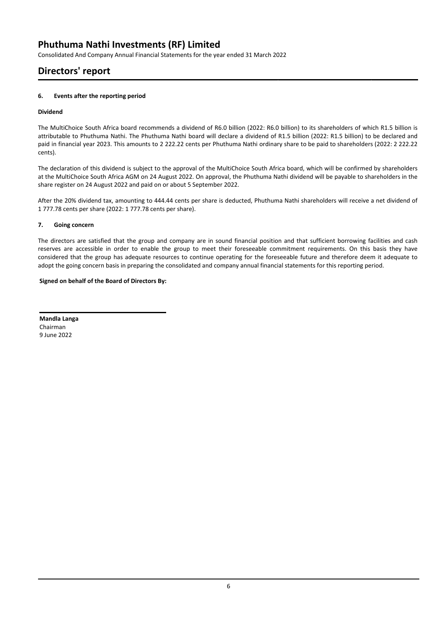Consolidated And Company Annual Financial Statements for the year ended 31 March 2022

# **Directors' report**

### **6. Events after the reporting period**

### **Dividend**

The MultiChoice South Africa board recommends a dividend of R6.0 billion (2022: R6.0 billion) to its shareholders of which R1.5 billion is attributable to Phuthuma Nathi. The Phuthuma Nathi board will declare a dividend of R1.5 billion (2022: R1.5 billion) to be declared and paid in financial year 2023. This amounts to 2 222.22 cents per Phuthuma Nathi ordinary share to be paid to shareholders (2022: 2 222.22 cents).

The declaration of this dividend is subject to the approval of the MultiChoice South Africa board, which will be confirmed by shareholders at the MultiChoice South Africa AGM on 24 August 2022. On approval, the Phuthuma Nathi dividend will be payable to shareholders in the share register on 24 August 2022 and paid on or about 5 September 2022.

After the 20% dividend tax, amounting to 444.44 cents per share is deducted, Phuthuma Nathi shareholders will receive a net dividend of 1 777.78 cents per share (2022: 1 777.78 cents per share).

### **7. Going concern**

The directors are satisfied that the group and company are in sound financial position and that sufficient borrowing facilities and cash reserves are accessible in order to enable the group to meet their foreseeable commitment requirements. On this basis they have considered that the group has adequate resources to continue operating for the foreseeable future and therefore deem it adequate to adopt the going concern basis in preparing the consolidated and company annual financial statements for this reporting period.

### **Signed on behalf of the Board of Directors By:**

**Mandla Langa** Chairman 9 June 2022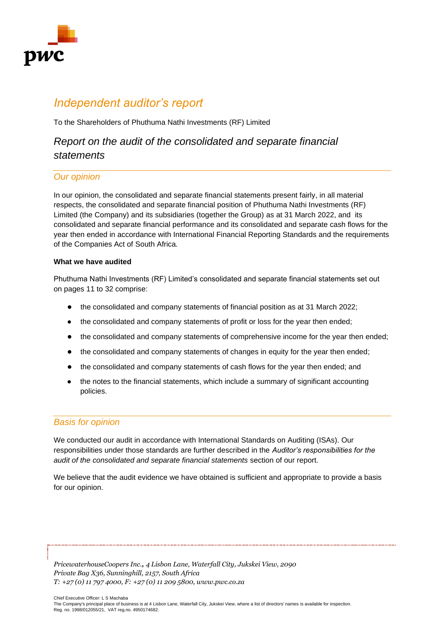

# *Independent auditor's report*

To the Shareholders of Phuthuma Nathi Investments (RF) Limited

# *Report on the audit of the consolidated and separate financial statements*

# *Our opinion*

In our opinion, the consolidated and separate financial statements present fairly, in all material respects, the consolidated and separate financial position of Phuthuma Nathi Investments (RF) Limited (the Company) and its subsidiaries (together the Group) as at 31 March 2022, and its consolidated and separate financial performance and its consolidated and separate cash flows for the year then ended in accordance with International Financial Reporting Standards and the requirements of the Companies Act of South Africa*.*

# **What we have audited**

Phuthuma Nathi Investments (RF) Limited's consolidated and separate financial statements set out on pages 11 to 32 comprise:

- the consolidated and company statements of financial position as at 31 March 2022;
- the consolidated and company statements of profit or loss for the year then ended;
- the consolidated and company statements of comprehensive income for the year then ended;
- the consolidated and company statements of changes in equity for the year then ended;
- the consolidated and company statements of cash flows for the year then ended; and
- the notes to the financial statements, which include a summary of significant accounting policies.

# *Basis for opinion*

We conducted our audit in accordance with International Standards on Auditing (ISAs). Our responsibilities under those standards are further described in the *Auditor's responsibilities for the audit of the consolidated and separate financial statements* section of our report.

We believe that the audit evidence we have obtained is sufficient and appropriate to provide a basis for our opinion.

*PricewaterhouseCoopers Inc., 4 Lisbon Lane, Waterfall City, Jukskei View, 2090 Private Bag X36, Sunninghill, 2157, South Africa T: +27 (0) 11 797 4000, F: +27 (0) 11 209 5800, www.pwc.co.za*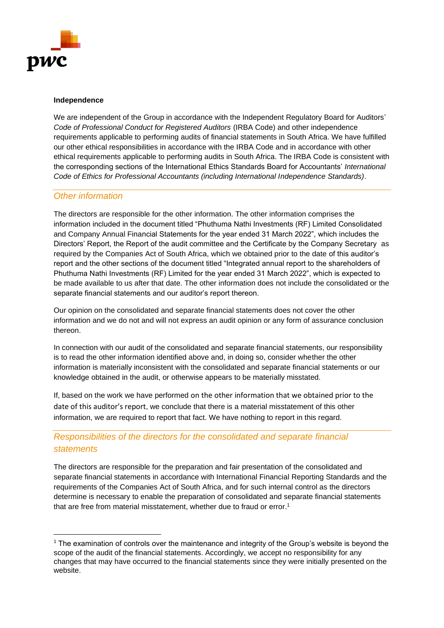

# **Independence**

We are independent of the Group in accordance with the Independent Regulatory Board for Auditors' *Code of Professional Conduct for Registered Auditors* (IRBA Code) and other independence requirements applicable to performing audits of financial statements in South Africa. We have fulfilled our other ethical responsibilities in accordance with the IRBA Code and in accordance with other ethical requirements applicable to performing audits in South Africa. The IRBA Code is consistent with the corresponding sections of the International Ethics Standards Board for Accountants' *International Code of Ethics for Professional Accountants (including International Independence Standards)*.

# *Other information*

The directors are responsible for the other information. The other information comprises the information included in the document titled "Phuthuma Nathi Investments (RF) Limited Consolidated and Company Annual Financial Statements for the year ended 31 March 2022", which includes the Directors' Report, the Report of the audit committee and the Certificate by the Company Secretary as required by the Companies Act of South Africa, which we obtained prior to the date of this auditor's report and the other sections of the document titled "Integrated annual report to the shareholders of Phuthuma Nathi Investments (RF) Limited for the year ended 31 March 2022", which is expected to be made available to us after that date. The other information does not include the consolidated or the separate financial statements and our auditor's report thereon.

Our opinion on the consolidated and separate financial statements does not cover the other information and we do not and will not express an audit opinion or any form of assurance conclusion thereon.

In connection with our audit of the consolidated and separate financial statements, our responsibility is to read the other information identified above and, in doing so, consider whether the other information is materially inconsistent with the consolidated and separate financial statements or our knowledge obtained in the audit, or otherwise appears to be materially misstated.

If, based on the work we have performed on the other information that we obtained prior to the date of this auditor's report, we conclude that there is a material misstatement of this other information, we are required to report that fact. We have nothing to report in this regard.

# *Responsibilities of the directors for the consolidated and separate financial statements*

The directors are responsible for the preparation and fair presentation of the consolidated and separate financial statements in accordance with International Financial Reporting Standards and the requirements of the Companies Act of South Africa, and for such internal control as the directors determine is necessary to enable the preparation of consolidated and separate financial statements that are free from material misstatement, whether due to fraud or error.<sup>1</sup>

 $1$  The examination of controls over the maintenance and integrity of the Group's website is beyond the scope of the audit of the financial statements. Accordingly, we accept no responsibility for any changes that may have occurred to the financial statements since they were initially presented on the website.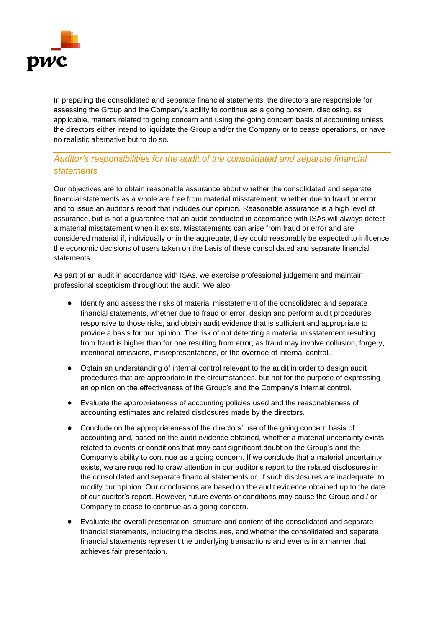

In preparing the consolidated and separate financial statements, the directors are responsible for assessing the Group and the Company's ability to continue as a going concern, disclosing, as applicable, matters related to going concern and using the going concern basis of accounting unless the directors either intend to liquidate the Group and/or the Company or to cease operations, or have no realistic alternative but to do so.

# *Auditor's responsibilities for the audit of the consolidated and separate financial statements*

Our objectives are to obtain reasonable assurance about whether the consolidated and separate financial statements as a whole are free from material misstatement, whether due to fraud or error, and to issue an auditor's report that includes our opinion. Reasonable assurance is a high level of assurance, but is not a guarantee that an audit conducted in accordance with ISAs will always detect a material misstatement when it exists. Misstatements can arise from fraud or error and are considered material if, individually or in the aggregate, they could reasonably be expected to influence the economic decisions of users taken on the basis of these consolidated and separate financial statements.

As part of an audit in accordance with ISAs, we exercise professional judgement and maintain professional scepticism throughout the audit. We also:

- Identify and assess the risks of material misstatement of the consolidated and separate financial statements, whether due to fraud or error, design and perform audit procedures responsive to those risks, and obtain audit evidence that is sufficient and appropriate to provide a basis for our opinion. The risk of not detecting a material misstatement resulting from fraud is higher than for one resulting from error, as fraud may involve collusion, forgery, intentional omissions, misrepresentations, or the override of internal control.
- Obtain an understanding of internal control relevant to the audit in order to design audit procedures that are appropriate in the circumstances, but not for the purpose of expressing an opinion on the effectiveness of the Group's and the Company's internal control.
- Evaluate the appropriateness of accounting policies used and the reasonableness of accounting estimates and related disclosures made by the directors.
- Conclude on the appropriateness of the directors' use of the going concern basis of accounting and, based on the audit evidence obtained, whether a material uncertainty exists related to events or conditions that may cast significant doubt on the Group's and the Company's ability to continue as a going concern. If we conclude that a material uncertainty exists, we are required to draw attention in our auditor's report to the related disclosures in the consolidated and separate financial statements or, if such disclosures are inadequate, to modify our opinion. Our conclusions are based on the audit evidence obtained up to the date of our auditor's report. However, future events or conditions may cause the Group and / or Company to cease to continue as a going concern.
- Evaluate the overall presentation, structure and content of the consolidated and separate financial statements, including the disclosures, and whether the consolidated and separate financial statements represent the underlying transactions and events in a manner that achieves fair presentation.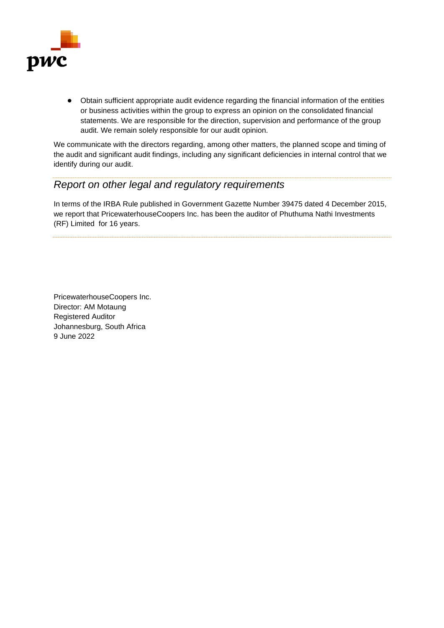

● Obtain sufficient appropriate audit evidence regarding the financial information of the entities or business activities within the group to express an opinion on the consolidated financial statements. We are responsible for the direction, supervision and performance of the group audit. We remain solely responsible for our audit opinion.

We communicate with the directors regarding, among other matters, the planned scope and timing of the audit and significant audit findings, including any significant deficiencies in internal control that we identify during our audit.

# *Report on other legal and regulatory requirements*

In terms of the IRBA Rule published in Government Gazette Number 39475 dated 4 December 2015, we report that PricewaterhouseCoopers Inc. has been the auditor of Phuthuma Nathi Investments (RF) Limited for 16 years.

PricewaterhouseCoopers Inc. Director: AM Motaung Registered Auditor Johannesburg, South Africa 9 June 2022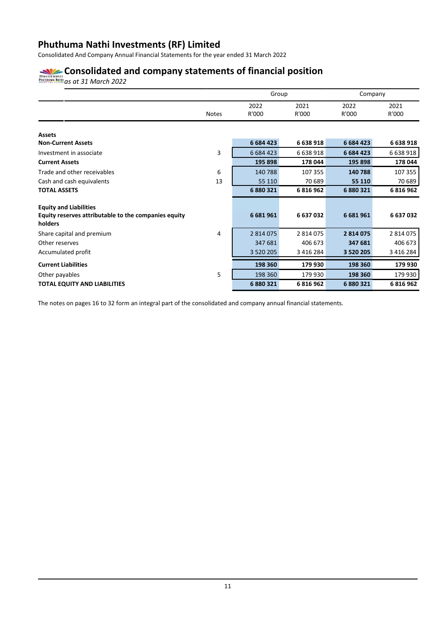Consolidated And Company Annual Financial Statements for the year ended 31 March 2022

# **Consolidated and company statements of financial position**

*as at 31 March 2022*

|                                                                 |              | Group         |               | Company       |               |
|-----------------------------------------------------------------|--------------|---------------|---------------|---------------|---------------|
|                                                                 | <b>Notes</b> | 2022<br>R'000 | 2021<br>R'000 | 2022<br>R'000 | 2021<br>R'000 |
| <b>Assets</b>                                                   |              |               |               |               |               |
| <b>Non-Current Assets</b>                                       |              | 6 684 423     | 6 638 918     | 6 684 423     | 6 638 918     |
| Investment in associate                                         | 3            | 6 6 8 4 4 2 3 | 6 638 918     | 6 684 423     | 6 638 918     |
| <b>Current Assets</b>                                           |              | 195 898       | 178 044       | 195 898       | 178 044       |
| Trade and other receivables                                     | 6            | 140788        | 107 355       | 140 788       | 107 355       |
| Cash and cash equivalents                                       | 13           | 55 110        | 70 689        | 55 110        | 70 689        |
| <b>TOTAL ASSETS</b>                                             |              | 6 880 321     | 6816962       | 6880321       | 6 816 962     |
| <b>Equity and Liabilities</b>                                   |              |               |               |               |               |
| Equity reserves attributable to the companies equity<br>holders |              | 6 681 961     | 6 637 032     | 6681961       | 6 637 032     |
| Share capital and premium                                       | 4            | 2 8 1 4 0 7 5 | 2 8 1 4 0 7 5 | 2814075       | 2 814 075     |
| Other reserves                                                  |              | 347 681       | 406 673       | 347 681       | 406 673       |
| Accumulated profit                                              |              | 3 5 2 0 2 0 5 | 3 4 1 6 2 8 4 | 3 5 20 20 5   | 3 4 1 6 2 8 4 |
| <b>Current Liabilities</b>                                      |              | 198 360       | 179 930       | 198 360       | 179 930       |
| Other payables                                                  | 5            | 198 360       | 179 930       | 198 360       | 179 930       |
| <b>TOTAL EQUITY AND LIABILITIES</b>                             |              | 6880321       | 6816962       | 6880321       | 6 816 962     |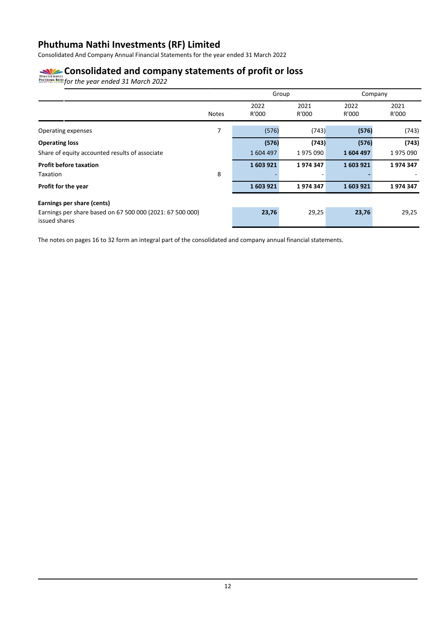Consolidated And Company Annual Financial Statements for the year ended 31 March 2022

# **Consolidated and company statements of profit or loss**

*for the year ended 31 March 2022*

|                                                                            |              |               | Group         |               | Company       |
|----------------------------------------------------------------------------|--------------|---------------|---------------|---------------|---------------|
|                                                                            | <b>Notes</b> | 2022<br>R'000 | 2021<br>R'000 | 2022<br>R'000 | 2021<br>R'000 |
| Operating expenses                                                         | 7            | (576)         | (743)         | (576)         | (743)         |
| <b>Operating loss</b>                                                      |              | (576)         | (743)         | (576)         | (743)         |
| Share of equity accounted results of associate                             |              | 1604497       | 1975090       | 1604497       | 1975090       |
| <b>Profit before taxation</b>                                              |              | 1603921       | 1974347       | 1603921       | 1974347       |
| Taxation                                                                   | 8            |               |               |               |               |
| Profit for the year                                                        |              | 1603921       | 1974347       | 1603921       | 1974347       |
| Earnings per share (cents)                                                 |              |               |               |               |               |
| Earnings per share based on 67 500 000 (2021: 67 500 000)<br>issued shares |              | 23,76         | 29,25         | 23,76         | 29,25         |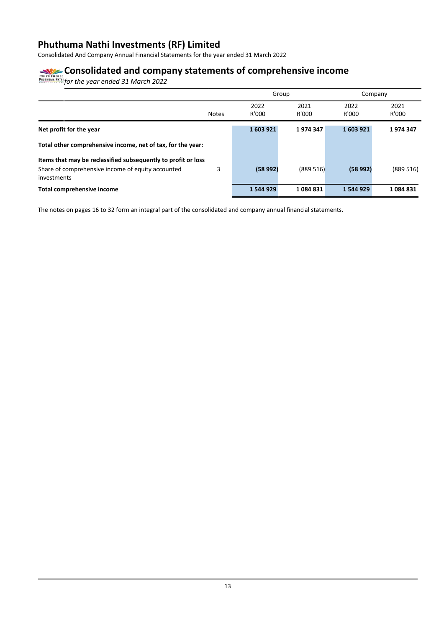Consolidated And Company Annual Financial Statements for the year ended 31 March 2022

# **Consolidated and company statements of comprehensive income**

*for the year ended 31 March 2022*

|                                                                  |              |           | Group    |           | Company  |
|------------------------------------------------------------------|--------------|-----------|----------|-----------|----------|
|                                                                  |              | 2022      | 2021     | 2022      | 2021     |
|                                                                  | <b>Notes</b> | R'000     | R'000    | R'000     | R'000    |
| Net profit for the year                                          |              | 1603921   | 1974347  | 1603921   | 1974347  |
| Total other comprehensive income, net of tax, for the year:      |              |           |          |           |          |
| Items that may be reclassified subsequently to profit or loss    |              |           |          |           |          |
| Share of comprehensive income of equity accounted<br>investments | 3            | (58992)   | (889516) | (58992)   | (889516) |
| Total comprehensive income                                       |              | 1 544 929 | 1084831  | 1 544 929 | 1084831  |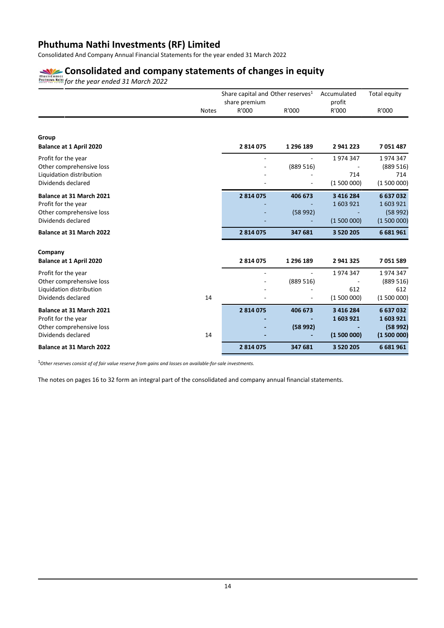Consolidated And Company Annual Financial Statements for the year ended 31 March 2022

# **Consolidated and company statements of changes in equity**

*for the year ended 31 March 2022*

|                                |              | Share capital and Other reserves <sup>1</sup><br>share premium |           | Accumulated<br>profit | Total equity |
|--------------------------------|--------------|----------------------------------------------------------------|-----------|-----------------------|--------------|
|                                | <b>Notes</b> | R'000                                                          | R'000     | R'000                 | R'000        |
|                                |              |                                                                |           |                       |              |
| Group                          |              |                                                                |           |                       |              |
| <b>Balance at 1 April 2020</b> |              | 2814075                                                        | 1 296 189 | 2941223               | 7051487      |
| Profit for the year            |              |                                                                |           | 1974347               | 1974347      |
| Other comprehensive loss       |              |                                                                | (889516)  |                       | (889516)     |
| Liquidation distribution       |              |                                                                |           | 714                   | 714          |
| Dividends declared             |              |                                                                |           | (1500000)             | (1500000)    |
| Balance at 31 March 2021       |              | 2814075                                                        | 406 673   | 3 4 1 6 2 8 4         | 6637032      |
| Profit for the year            |              |                                                                |           | 1603921               | 1603921      |
| Other comprehensive loss       |              |                                                                | (58992)   |                       | (58992)      |
| Dividends declared             |              |                                                                |           | (1500000)             | (1500000)    |
| Balance at 31 March 2022       |              | 2814075                                                        | 347 681   | 3 5 20 20 5           | 6681961      |
| Company                        |              |                                                                |           |                       |              |
| <b>Balance at 1 April 2020</b> |              | 2814075                                                        | 1 296 189 | 2 941 325             | 7051589      |
| Profit for the year            |              |                                                                |           | 1974347               | 1974347      |
| Other comprehensive loss       |              |                                                                | (889516)  |                       | (889516)     |
| Liquidation distribution       |              |                                                                |           | 612                   | 612          |
| Dividends declared             | 14           |                                                                |           | (1500000)             | (1500000)    |
| Balance at 31 March 2021       |              | 2814075                                                        | 406 673   | 3 4 1 6 2 8 4         | 6637032      |
| Profit for the year            |              |                                                                |           | 1603921               | 1603921      |
| Other comprehensive loss       |              |                                                                | (58992)   |                       | (58992)      |
| Dividends declared             | 14           |                                                                |           | (1500000)             | (1500000)    |
| Balance at 31 March 2022       |              | 2814075                                                        | 347 681   | 3 5 20 20 5           | 6681961      |

<sup>1</sup>*Other reserves consist of of fair value reserve from gains and losses on available-for-sale investments.*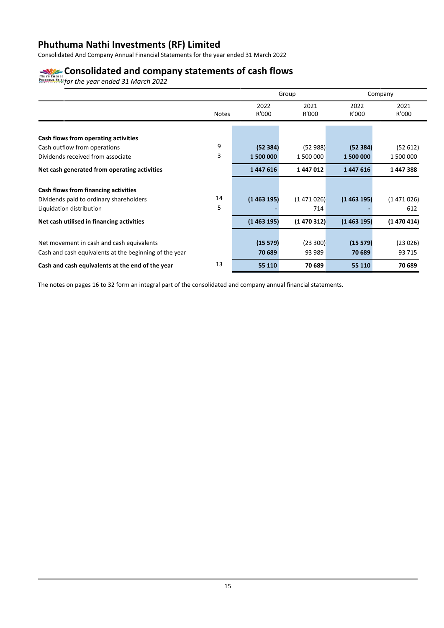Consolidated And Company Annual Financial Statements for the year ended 31 March 2022

# **Consolidated and company statements of cash flows**

*for the year ended 31 March 2022*

|                                                        |              |           | Group     |           | Company   |
|--------------------------------------------------------|--------------|-----------|-----------|-----------|-----------|
|                                                        |              | 2022      | 2021      | 2022      | 2021      |
|                                                        | <b>Notes</b> | R'000     | R'000     | R'000     | R'000     |
| Cash flows from operating activities                   |              |           |           |           |           |
| Cash outflow from operations                           | 9            | (52384)   | (52988)   | (52384)   | (52612)   |
| Dividends received from associate                      | 3            | 1 500 000 | 1 500 000 | 1 500 000 | 1 500 000 |
| Net cash generated from operating activities           |              | 1447616   | 1447012   | 1447616   | 1447388   |
|                                                        |              |           |           |           |           |
| Cash flows from financing activities                   | 14           |           |           |           |           |
| Dividends paid to ordinary shareholders                | 5            | (1463195) | (1471026) | (1463195) | (1471026) |
| Liquidation distribution                               |              |           | 714       |           | 612       |
| Net cash utilised in financing activities              |              | (1463195) | (1470312) | (1463195) | (1470414) |
|                                                        |              |           |           |           |           |
| Net movement in cash and cash equivalents              |              | (15 579)  | (23 300)  | (15579)   | (23026)   |
| Cash and cash equivalents at the beginning of the year |              | 70 689    | 93 989    | 70 689    | 93 715    |
| Cash and cash equivalents at the end of the year       | 13           | 55 110    | 70 689    | 55 110    | 70 689    |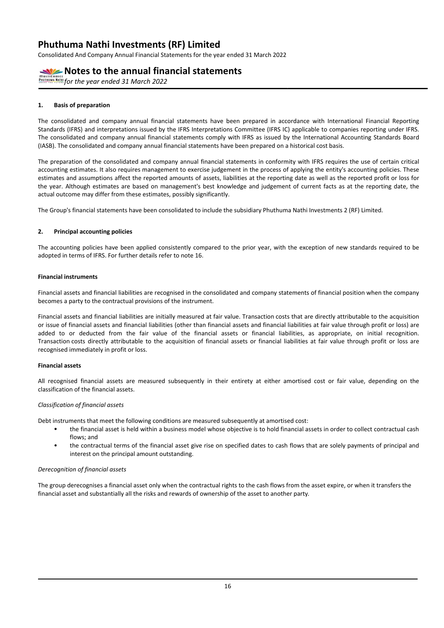Consolidated And Company Annual Financial Statements for the year ended 31 March 2022

# **Notes to the annual financial statements**

*FOR TRIMER ATTRES AT LAND CONTROLLER TO VEG THE YEAR OLD MATH STRUMM NATH for the year ended 31 March 2022* 

### **1. Basis of preparation**

The consolidated and company annual financial statements have been prepared in accordance with International Financial Reporting Standards (IFRS) and interpretations issued by the IFRS Interpretations Committee (IFRS IC) applicable to companies reporting under IFRS. The consolidated and company annual financial statements comply with IFRS as issued by the International Accounting Standards Board (IASB). The consolidated and company annual financial statements have been prepared on a historical cost basis.

The preparation of the consolidated and company annual financial statements in conformity with IFRS requires the use of certain critical accounting estimates. It also requires management to exercise judgement in the process of applying the entity's accounting policies. These estimates and assumptions affect the reported amounts of assets, liabilities at the reporting date as well as the reported profit or loss for the year. Although estimates are based on management's best knowledge and judgement of current facts as at the reporting date, the actual outcome may differ from these estimates, possibly significantly.

The Group's financial statements have been consolidated to include the subsidiary Phuthuma Nathi Investments 2 (RF) Limited.

### **2. Principal accounting policies**

The accounting policies have been applied consistently compared to the prior year, with the exception of new standards required to be adopted in terms of IFRS. For further details refer to note 16.

### **Financial instruments**

Financial assets and financial liabilities are recognised in the consolidated and company statements of financial position when the company becomes a party to the contractual provisions of the instrument.

Financial assets and financial liabilities are initially measured at fair value. Transaction costs that are directly attributable to the acquisition or issue of financial assets and financial liabilities (other than financial assets and financial liabilities at fair value through profit or loss) are added to or deducted from the fair value of the financial assets or financial liabilities, as appropriate, on initial recognition. Transaction costs directly attributable to the acquisition of financial assets or financial liabilities at fair value through profit or loss are recognised immediately in profit or loss.

### **Financial assets**

All recognised financial assets are measured subsequently in their entirety at either amortised cost or fair value, depending on the classification of the financial assets.

### *Classification of financial assets*

Debt instruments that meet the following conditions are measured subsequently at amortised cost:

- the financial asset is held within a business model whose objective is to hold financial assets in order to collect contractual cash flows; and
- the contractual terms of the financial asset give rise on specified dates to cash flows that are solely payments of principal and interest on the principal amount outstanding.

### *Derecognition of financial assets*

The group derecognises a financial asset only when the contractual rights to the cash flows from the asset expire, or when it transfers the financial asset and substantially all the risks and rewards of ownership of the asset to another party*.*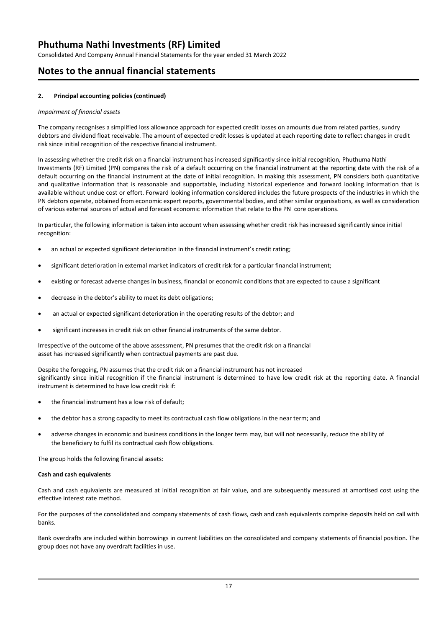Consolidated And Company Annual Financial Statements for the year ended 31 March 2022

# **Notes to the annual financial statements**

### **2. Principal accounting policies (continued)**

### *Impairment of financial assets*

The company recognises a simplified loss allowance approach for expected credit losses on amounts due from related parties, sundry debtors and dividend float receivable. The amount of expected credit losses is updated at each reporting date to reflect changes in credit risk since initial recognition of the respective financial instrument.

In assessing whether the credit risk on a financial instrument has increased significantly since initial recognition, Phuthuma Nathi Investments (RF) Limited (PN) compares the risk of a default occurring on the financial instrument at the reporting date with the risk of a default occurring on the financial instrument at the date of initial recognition. In making this assessment, PN considers both quantitative and qualitative information that is reasonable and supportable, including historical experience and forward looking information that is available without undue cost or effort. Forward looking information considered includes the future prospects of the industries in which the PN debtors operate, obtained from economic expert reports, governmental bodies, and other similar organisations, as well as consideration of various external sources of actual and forecast economic information that relate to the PN core operations.

In particular, the following information is taken into account when assessing whether credit risk has increased significantly since initial recognition:

- an actual or expected significant deterioration in the financial instrument's credit rating;
- significant deterioration in external market indicators of credit risk for a particular financial instrument;
- existing or forecast adverse changes in business, financial or economic conditions that are expected to cause a significant
- decrease in the debtor's ability to meet its debt obligations;
- an actual or expected significant deterioration in the operating results of the debtor; and
- significant increases in credit risk on other financial instruments of the same debtor.

Irrespective of the outcome of the above assessment, PN presumes that the credit risk on a financial asset has increased significantly when contractual payments are past due.

Despite the foregoing, PN assumes that the credit risk on a financial instrument has not increased significantly since initial recognition if the financial instrument is determined to have low credit risk at the reporting date. A financial instrument is determined to have low credit risk if:

- the financial instrument has a low risk of default;
- the debtor has a strong capacity to meet its contractual cash flow obligations in the near term; and
- adverse changes in economic and business conditions in the longer term may, but will not necessarily, reduce the ability of the beneficiary to fulfil its contractual cash flow obligations.

The group holds the following financial assets:

### **Cash and cash equivalents**

Cash and cash equivalents are measured at initial recognition at fair value, and are subsequently measured at amortised cost using the effective interest rate method.

For the purposes of the consolidated and company statements of cash flows, cash and cash equivalents comprise deposits held on call with banks.

Bank overdrafts are included within borrowings in current liabilities on the consolidated and company statements of financial position. The group does not have any overdraft facilities in use.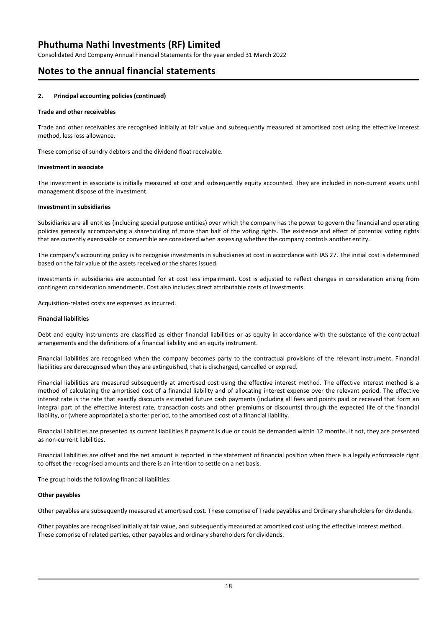Consolidated And Company Annual Financial Statements for the year ended 31 March 2022

# **Notes to the annual financial statements**

### **2. Principal accounting policies (continued)**

### **Trade and other receivables**

Trade and other receivables are recognised initially at fair value and subsequently measured at amortised cost using the effective interest method, less loss allowance.

These comprise of sundry debtors and the dividend float receivable.

### **Investment in associate**

The investment in associate is initially measured at cost and subsequently equity accounted. They are included in non-current assets until management dispose of the investment.

### **Investment in subsidiaries**

Subsidiaries are all entities (including special purpose entities) over which the company has the power to govern the financial and operating policies generally accompanying a shareholding of more than half of the voting rights. The existence and effect of potential voting rights that are currently exercisable or convertible are considered when assessing whether the company controls another entity.

The company's accounting policy is to recognise investments in subsidiaries at cost in accordance with IAS 27. The initial cost is determined based on the fair value of the assets received or the shares issued.

Investments in subsidiaries are accounted for at cost less impairment. Cost is adjusted to reflect changes in consideration arising from contingent consideration amendments. Cost also includes direct attributable costs of investments.

Acquisition-related costs are expensed as incurred.

### **Financial liabilities**

Debt and equity instruments are classified as either financial liabilities or as equity in accordance with the substance of the contractual arrangements and the definitions of a financial liability and an equity instrument.

Financial liabilities are recognised when the company becomes party to the contractual provisions of the relevant instrument. Financial liabilities are derecognised when they are extinguished, that is discharged, cancelled or expired.

Financial liabilities are measured subsequently at amortised cost using the effective interest method. The effective interest method is a method of calculating the amortised cost of a financial liability and of allocating interest expense over the relevant period. The effective interest rate is the rate that exactly discounts estimated future cash payments (including all fees and points paid or received that form an integral part of the effective interest rate, transaction costs and other premiums or discounts) through the expected life of the financial liability, or (where appropriate) a shorter period, to the amortised cost of a financial liability.

Financial liabilities are presented as current liabilities if payment is due or could be demanded within 12 months. If not, they are presented as non-current liabilities.

Financial liabilities are offset and the net amount is reported in the statement of financial position when there is a legally enforceable right to offset the recognised amounts and there is an intention to settle on a net basis.

The group holds the following financial liabilities:

### **Other payables**

Other payables are subsequently measured at amortised cost. These comprise of Trade payables and Ordinary shareholders for dividends.

Other payables are recognised initially at fair value, and subsequently measured at amortised cost using the effective interest method. These comprise of related parties, other payables and ordinary shareholders for dividends.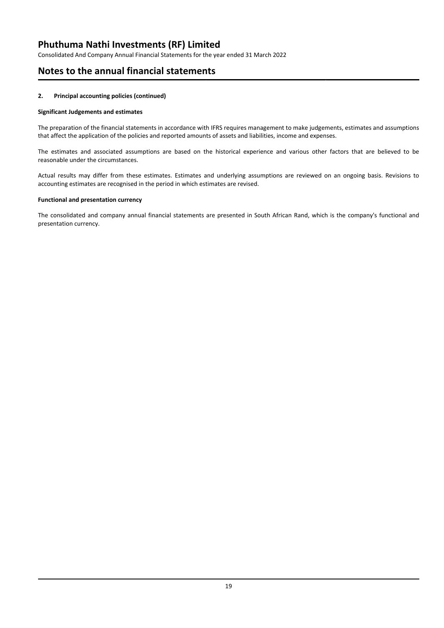Consolidated And Company Annual Financial Statements for the year ended 31 March 2022

# **Notes to the annual financial statements**

### **2. Principal accounting policies (continued)**

### **Significant Judgements and estimates**

The preparation of the financial statements in accordance with IFRS requires management to make judgements, estimates and assumptions that affect the application of the policies and reported amounts of assets and liabilities, income and expenses.

The estimates and associated assumptions are based on the historical experience and various other factors that are believed to be reasonable under the circumstances.

Actual results may differ from these estimates. Estimates and underlying assumptions are reviewed on an ongoing basis. Revisions to accounting estimates are recognised in the period in which estimates are revised.

### **Functional and presentation currency**

The consolidated and company annual financial statements are presented in South African Rand, which is the company's functional and presentation currency.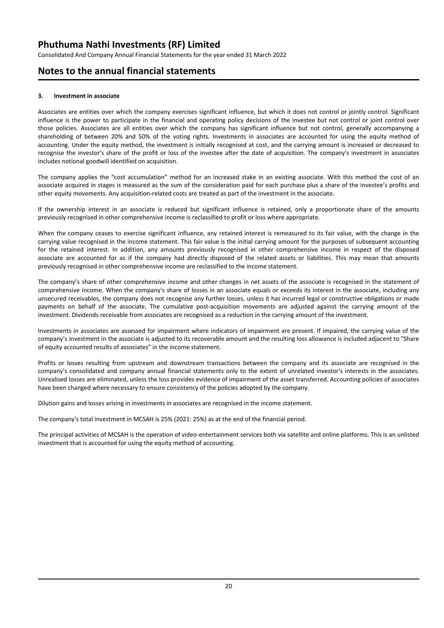Consolidated And Company Annual Financial Statements for the year ended 31 March 2022

# **Notes to the annual financial statements**

### **3. Investment in associate**

Associates are entities over which the company exercises significant influence, but which it does not control or jointly control. Significant influence is the power to participate in the financial and operating policy decisions of the investee but not control or joint control over those policies. Associates are all entities over which the company has significant influence but not control, generally accompanying a shareholding of between 20% and 50% of the voting rights. Investments in associates are accounted for using the equity method of accounting. Under the equity method, the investment is initially recognised at cost, and the carrying amount is increased or decreased to recognise the investor's share of the profit or loss of the investee after the date of acquisition. The company's investment in associates includes notional goodwill identified on acquisition.

The company applies the "cost accumulation" method for an increased stake in an existing associate. With this method the cost of an associate acquired in stages is measured as the sum of the consideration paid for each purchase plus a share of the investee's profits and other equity movements. Any acquisition-related costs are treated as part of the investment in the associate.

If the ownership interest in an associate is reduced but significant influence is retained, only a proportionate share of the amounts previously recognised in other comprehensive income is reclassified to profit or loss where appropriate.

When the company ceases to exercise significant influence, any retained interest is remeasured to its fair value, with the change in the carrying value recognised in the income statement. This fair value is the initial carrying amount for the purposes of subsequent accounting for the retained interest. In addition, any amounts previously recognised in other comprehensive income in respect of the disposed associate are accounted for as if the company had directly disposed of the related assets or liabilities. This may mean that amounts previously recognised in other comprehensive income are reclassified to the income statement.

The company's share of other comprehensive income and other changes in net assets of the associate is recognised in the statement of comprehensive income. When the company's share of losses in an associate equals or exceeds its interest in the associate, including any unsecured receivables, the company does not recognise any further losses, unless it has incurred legal or constructive obligations or made payments on behalf of the associate. The cumulative post-acquisition movements are adjusted against the carrying amount of the investment. Dividends receivable from associates are recognised as a reduction in the carrying amount of the investment.

Investments in associates are assessed for impairment where indicators of impairment are present. If impaired, the carrying value of the company's investment in the associate is adjusted to its recoverable amount and the resulting loss allowance is included adjacent to "Share of equity accounted results of associates" in the income statement.

Profits or losses resulting from upstream and downstream transactions between the company and its associate are recognised in the company's consolidated and company annual financial statements only to the extent of unrelated investor's interests in the associates. Unrealised losses are eliminated, unless the loss provides evidence of impairment of the asset transferred. Accounting policies of associates have been changed where necessary to ensure consistency of the policies adopted by the company.

Dilution gains and losses arising in investments in associates are recognised in the income statement.

The company's total investment in MCSAH is 25% (2021: 25%) as at the end of the financial period.

The principal activities of MCSAH is the operation of video-entertainment services both via satellite and online platforms. This is an unlisted investment that is accounted for using the equity method of accounting.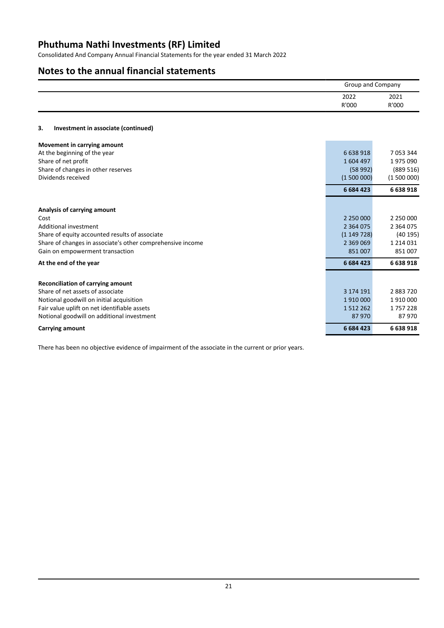Consolidated And Company Annual Financial Statements for the year ended 31 March 2022

# **Notes to the annual financial statements**

|    |                                     |               | <b>Group and Company</b> |  |
|----|-------------------------------------|---------------|--------------------------|--|
|    |                                     | 2022<br>R'000 | 2021<br>R'000            |  |
| 3. | Investment in associate (continued) |               |                          |  |

# **Movement** in carrying

| At the beginning of the year<br>Share of net profit<br>Share of changes in other reserves<br>Dividends received<br>Analysis of carrying amount<br>Cost<br>Additional investment | 6 638 918<br>1604497<br>(58992)<br>(1500000)<br>6 6 8 4 4 2 3<br>2 3 6 4 0 7 5 | 7 0 5 3 3 4 4<br>1975090<br>(889 516)<br>(1500000)<br>6 638 918<br>2 250 000<br>2 3 6 4 0 7 5 |
|---------------------------------------------------------------------------------------------------------------------------------------------------------------------------------|--------------------------------------------------------------------------------|-----------------------------------------------------------------------------------------------|
|                                                                                                                                                                                 |                                                                                |                                                                                               |
|                                                                                                                                                                                 |                                                                                |                                                                                               |
|                                                                                                                                                                                 |                                                                                |                                                                                               |
|                                                                                                                                                                                 |                                                                                |                                                                                               |
|                                                                                                                                                                                 |                                                                                |                                                                                               |
|                                                                                                                                                                                 |                                                                                |                                                                                               |
|                                                                                                                                                                                 |                                                                                |                                                                                               |
|                                                                                                                                                                                 |                                                                                |                                                                                               |
|                                                                                                                                                                                 |                                                                                |                                                                                               |
| Share of equity accounted results of associate                                                                                                                                  | (1149728)                                                                      | (40195)                                                                                       |
| Share of changes in associate's other comprehensive income                                                                                                                      | 2 3 6 9 0 6 9                                                                  | 1 2 1 4 0 3 1                                                                                 |
| Gain on empowerment transaction                                                                                                                                                 | 851 007                                                                        | 851007                                                                                        |
| At the end of the year                                                                                                                                                          | 6 6 8 4 4 2 3                                                                  | 6 638 918                                                                                     |
| Reconciliation of carrying amount                                                                                                                                               |                                                                                |                                                                                               |
| Share of net assets of associate                                                                                                                                                | 3 174 191                                                                      | 2883720                                                                                       |
| Notional goodwill on initial acquisition                                                                                                                                        | 1910000                                                                        | 1910000                                                                                       |
| Fair value uplift on net identifiable assets                                                                                                                                    | 1 5 1 2 2 6 2                                                                  | 1757228                                                                                       |
| Notional goodwill on additional investment                                                                                                                                      | 87970                                                                          | 87970                                                                                         |
| Carrying amount                                                                                                                                                                 | 6 684 423                                                                      | 6 638 918                                                                                     |

There has been no objective evidence of impairment of the associate in the current or prior years.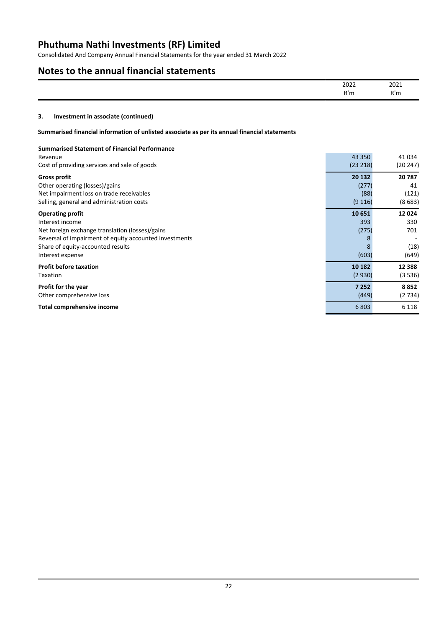Consolidated And Company Annual Financial Statements for the year ended 31 March 2022

# **Notes to the annual financial statements**

| 2022               | 2021 |
|--------------------|------|
| دما التقا<br>ал на | R'n  |

# **3. Investment in associate (continued)**

### **Summarised financial information of unlisted associate as per its annual financial statements**

| <b>Summarised Statement of Financial Performance</b>   |          |          |
|--------------------------------------------------------|----------|----------|
| Revenue                                                | 43 3 50  | 41 034   |
| Cost of providing services and sale of goods           | (23 218) | (20 247) |
| <b>Gross profit</b>                                    | 20 132   | 20787    |
| Other operating (losses)/gains                         | (277)    | 41       |
| Net impairment loss on trade receivables               | (88)     | (121)    |
| Selling, general and administration costs              | (9116)   | (8683)   |
| <b>Operating profit</b>                                | 10 651   | 12024    |
| Interest income                                        | 393      | 330      |
| Net foreign exchange translation (losses)/gains        | (275)    | 701      |
| Reversal of impairment of equity accounted investments |          |          |
| Share of equity-accounted results                      | 8        | (18)     |
| Interest expense                                       | (603)    | (649)    |
| <b>Profit before taxation</b>                          | 10 182   | 12 3 8 8 |
| Taxation                                               | (2930)   | (3536)   |
| Profit for the year                                    | 7 2 5 2  | 8852     |
| Other comprehensive loss                               | (449)    | (2734)   |
| Total comprehensive income                             | 6803     | 6 1 1 8  |
|                                                        |          |          |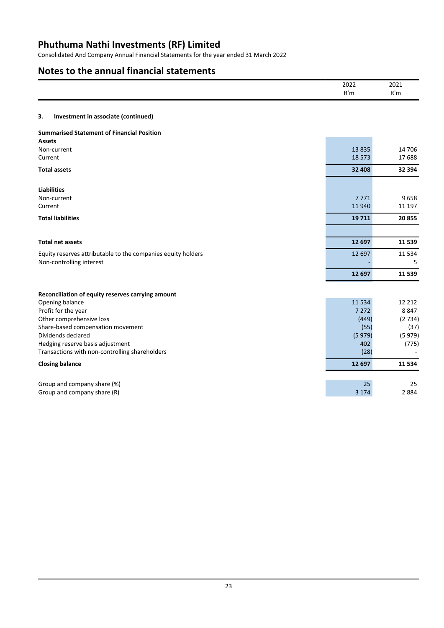Consolidated And Company Annual Financial Statements for the year ended 31 March 2022

# **Notes to the annual financial statements**

|                                                              | 2022<br>R'm      | 2021<br>R'm     |
|--------------------------------------------------------------|------------------|-----------------|
| Investment in associate (continued)<br>3.                    |                  |                 |
| <b>Summarised Statement of Financial Position</b>            |                  |                 |
| <b>Assets</b>                                                |                  |                 |
| Non-current                                                  | 13835<br>18 5 73 | 14 706<br>17688 |
| Current                                                      |                  |                 |
| <b>Total assets</b>                                          | 32 408           | 32 394          |
| <b>Liabilities</b>                                           |                  |                 |
| Non-current                                                  | 7771             | 9658            |
| Current                                                      | 11940            | 11 197          |
| <b>Total liabilities</b>                                     | 19711            | 20855           |
|                                                              |                  |                 |
| <b>Total net assets</b>                                      | 12 697           | 11539           |
| Equity reserves attributable to the companies equity holders | 12 697           | 11534           |
| Non-controlling interest                                     |                  | 5               |
|                                                              | 12 697           | 11539           |
|                                                              |                  |                 |
| Reconciliation of equity reserves carrying amount            |                  |                 |
| Opening balance                                              | 11 5 34          | 12 2 12         |
| Profit for the year                                          | 7 2 7 2          | 8847            |
| Other comprehensive loss                                     | (449)            | (2734)          |
| Share-based compensation movement                            | (55)             | (37)            |
| Dividends declared                                           | (5979)           | (5979)          |
| Hedging reserve basis adjustment                             | 402              | (775)           |
| Transactions with non-controlling shareholders               | (28)             |                 |
| <b>Closing balance</b>                                       | 12 697           | 11534           |
|                                                              |                  |                 |
| Group and company share (%)                                  | 25               | 25              |
| Group and company share (R)                                  | 3 1 7 4          | 2884            |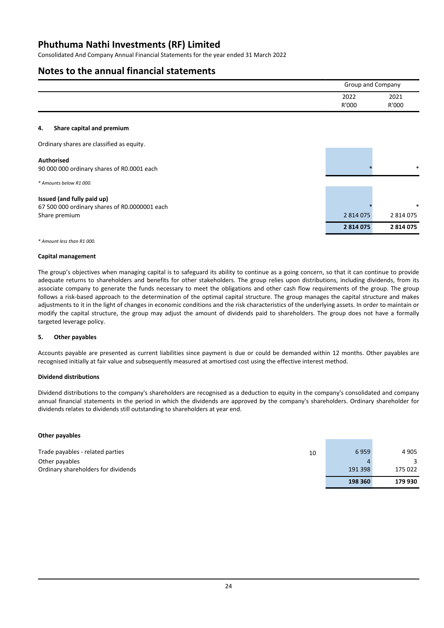Consolidated And Company Annual Financial Statements for the year ended 31 March 2022

# **Notes to the annual financial statements**

|                                                                                              |               | <b>Group and Company</b> |  |
|----------------------------------------------------------------------------------------------|---------------|--------------------------|--|
|                                                                                              | 2022<br>R'000 | 2021<br>R'000            |  |
| Share capital and premium<br>4.                                                              |               |                          |  |
| Ordinary shares are classified as equity.                                                    |               |                          |  |
| <b>Authorised</b><br>90 000 000 ordinary shares of R0.0001 each                              |               | $\ast$                   |  |
| * Amounts below R1 000.                                                                      |               |                          |  |
| Issued (and fully paid up)<br>67 500 000 ordinary shares of R0.0000001 each<br>Share premium | 2 8 1 4 0 7 5 | $\ast$<br>2 814 075      |  |
|                                                                                              | 2814075       | 2814075                  |  |

*\* Amount less than R1 000.*

#### **Capital management**

The group's objectives when managing capital is to safeguard its ability to continue as a going concern, so that it can continue to provide adequate returns to shareholders and benefits for other stakeholders. The group relies upon distributions, including dividends, from its associate company to generate the funds necessary to meet the obligations and other cash flow requirements of the group. The group follows a risk-based approach to the determination of the optimal capital structure. The group manages the capital structure and makes adjustments to it in the light of changes in economic conditions and the risk characteristics of the underlying assets. In order to maintain or modify the capital structure, the group may adjust the amount of dividends paid to shareholders. The group does not have a formally targeted leverage policy.

### **5. Other payables**

Accounts payable are presented as current liabilities since payment is due or could be demanded within 12 months. Other payables are recognised initially at fair value and subsequently measured at amortised cost using the effective interest method.

### **Dividend distributions**

Dividend distributions to the company's shareholders are recognised as a deduction to equity in the company's consolidated and company annual financial statements in the period in which the dividends are approved by the company's shareholders. Ordinary shareholder for dividends relates to dividends still outstanding to shareholders at year end.

#### **Other payables**

|                                     |    | 198 360 | 179 930 |
|-------------------------------------|----|---------|---------|
| Ordinary shareholders for dividends |    | 191 398 | 175 022 |
| Other payables                      |    |         |         |
| Trade payables - related parties    | 10 | 6959    | 4 9 0 5 |
|                                     |    |         |         |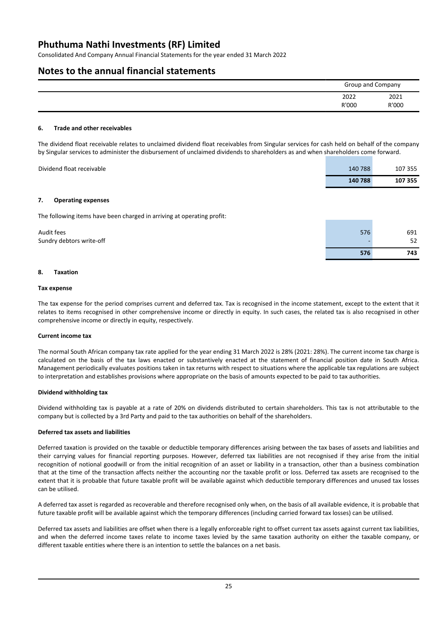Consolidated And Company Annual Financial Statements for the year ended 31 March 2022

# **Notes to the annual financial statements**

|               | Group and Company |  |
|---------------|-------------------|--|
| 2022<br>R'000 | 2021<br>R'000     |  |

### **6. Trade and other receivables**

The dividend float receivable relates to unclaimed dividend float receivables from Singular services for cash held on behalf of the company by Singular services to administer the disbursement of unclaimed dividends to shareholders as and when shareholders come forward.

| Dividend float receivable | 140 788 | 107 355 |
|---------------------------|---------|---------|
|                           | 140 788 | 107 355 |

### **7. Operating expenses**

The following items have been charged in arriving at operating profit:

| Audit fees               | 576 | 691 |
|--------------------------|-----|-----|
| Sundry debtors write-off |     | 52  |
|                          | 576 | 743 |

### **8. Taxation**

### **Tax expense**

The tax expense for the period comprises current and deferred tax. Tax is recognised in the income statement, except to the extent that it relates to items recognised in other comprehensive income or directly in equity. In such cases, the related tax is also recognised in other comprehensive income or directly in equity, respectively.

### **Current income tax**

The normal South African company tax rate applied for the year ending 31 March 2022 is 28% (2021: 28%). The current income tax charge is calculated on the basis of the tax laws enacted or substantively enacted at the statement of financial position date in South Africa. Management periodically evaluates positions taken in tax returns with respect to situations where the applicable tax regulations are subject to interpretation and establishes provisions where appropriate on the basis of amounts expected to be paid to tax authorities.

### **Dividend withholding tax**

Dividend withholding tax is payable at a rate of 20% on dividends distributed to certain shareholders. This tax is not attributable to the company but is collected by a 3rd Party and paid to the tax authorities on behalf of the shareholders.

### **Deferred tax assets and liabilities**

Deferred taxation is provided on the taxable or deductible temporary differences arising between the tax bases of assets and liabilities and their carrying values for financial reporting purposes. However, deferred tax liabilities are not recognised if they arise from the initial recognition of notional goodwill or from the initial recognition of an asset or liability in a transaction, other than a business combination that at the time of the transaction affects neither the accounting nor the taxable profit or loss. Deferred tax assets are recognised to the extent that it is probable that future taxable profit will be available against which deductible temporary differences and unused tax losses can be utilised.

A deferred tax asset is regarded as recoverable and therefore recognised only when, on the basis of all available evidence, it is probable that future taxable profit will be available against which the temporary differences (including carried forward tax losses) can be utilised.

Deferred tax assets and liabilities are offset when there is a legally enforceable right to offset current tax assets against current tax liabilities, and when the deferred income taxes relate to income taxes levied by the same taxation authority on either the taxable company, or different taxable entities where there is an intention to settle the balances on a net basis.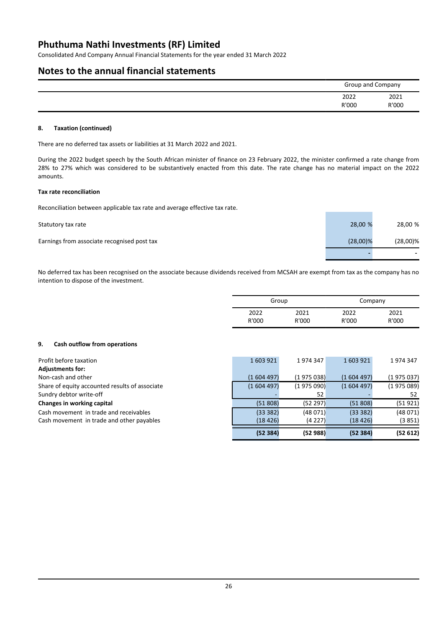Consolidated And Company Annual Financial Statements for the year ended 31 March 2022

# **Notes to the annual financial statements**

| Group and Company |       |
|-------------------|-------|
| 2022              | 2021  |
| R'000             | R'000 |

### **8. Taxation (continued)**

There are no deferred tax assets or liabilities at 31 March 2022 and 2021.

During the 2022 budget speech by the South African minister of finance on 23 February 2022, the minister confirmed a rate change from 28% to 27% which was considered to be substantively enacted from this date. The rate change has no material impact on the 2022 amounts.

### **Tax rate reconciliation**

Reconciliation between applicable tax rate and average effective tax rate.

| Statutory tax rate                          | 28,00 %     | 28,00 %                  |
|---------------------------------------------|-------------|--------------------------|
| Earnings from associate recognised post tax | $(28,00)\%$ | $(28,00)\%$              |
|                                             |             | $\overline{\phantom{a}}$ |

No deferred tax has been recognised on the associate because dividends received from MCSAH are exempt from tax as the company has no intention to dispose of the investment.

| Group |       | Company |       |
|-------|-------|---------|-------|
| 2022  | 2021  | 2022    | 2021  |
| R'000 | R'000 | R'000   | R'000 |

### **9. Cash outflow from operations**

|           |                    |           | 1974347                                                                                  |
|-----------|--------------------|-----------|------------------------------------------------------------------------------------------|
|           |                    |           |                                                                                          |
| (1604497) |                    | (1604497) | (1975037)                                                                                |
| (1604497) |                    | (1604497) | (1975089)                                                                                |
|           | 52                 |           | 52                                                                                       |
| (51808)   |                    | (51808)   | (51921)                                                                                  |
| (333382)  |                    | (333382)  | (48071)                                                                                  |
| (18426)   |                    | (18426)   | (3851)                                                                                   |
|           |                    |           | (52612)                                                                                  |
|           | 1603921<br>(52384) | 1974347   | 1603921<br>(1975038)<br>(1975090)<br>(52 297)<br>(48071)<br>(4227)<br>(52988)<br>(52384) |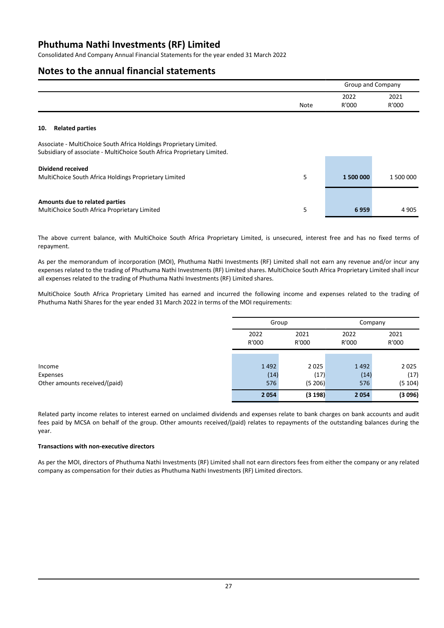Consolidated And Company Annual Financial Statements for the year ended 31 March 2022

# **Notes to the annual financial statements**

| 2021<br>2022 |      | Group and Company |       |
|--------------|------|-------------------|-------|
|              | Note | R'000             | R'000 |

### **10. Related parties**

Associate - MultiChoice South Africa Holdings Proprietary Limited. Subsidiary of associate - MultiChoice South Africa Proprietary Limited.

| Dividend received<br>MultiChoice South Africa Holdings Proprietary Limited     | 1 500 000 | 1 500 000 |
|--------------------------------------------------------------------------------|-----------|-----------|
| Amounts due to related parties<br>MultiChoice South Africa Proprietary Limited | 6959      | 4 9 0 5   |

The above current balance, with MultiChoice South Africa Proprietary Limited, is unsecured, interest free and has no fixed terms of repayment.

As per the memorandum of incorporation (MOI), Phuthuma Nathi Investments (RF) Limited shall not earn any revenue and/or incur any expenses related to the trading of Phuthuma Nathi Investments (RF) Limited shares. MultiChoice South Africa Proprietary Limited shall incur all expenses related to the trading of Phuthuma Nathi Investments (RF) Limited shares.

MultiChoice South Africa Proprietary Limited has earned and incurred the following income and expenses related to the trading of Phuthuma Nathi Shares for the year ended 31 March 2022 in terms of the MOI requirements:

| Group         |               | Company       |               |
|---------------|---------------|---------------|---------------|
| 2022<br>R'000 | 2021<br>R'000 | 2022<br>R'000 | 2021<br>R'000 |
|               |               |               |               |
| 1492          | 2025          | 1492          | 2025          |
| (14)          | (17)          | (14)          | (17)          |
| 576           | (5 206)       | 576           | (5104)        |
| 2054          | (3198)        | 2054          | (3096)        |

Related party income relates to interest earned on unclaimed dividends and expenses relate to bank charges on bank accounts and audit fees paid by MCSA on behalf of the group. Other amounts received/(paid) relates to repayments of the outstanding balances during the year.

### **Transactions with non-executive directors**

As per the MOI, directors of Phuthuma Nathi Investments (RF) Limited shall not earn directors fees from either the company or any related company as compensation for their duties as Phuthuma Nathi Investments (RF) Limited directors.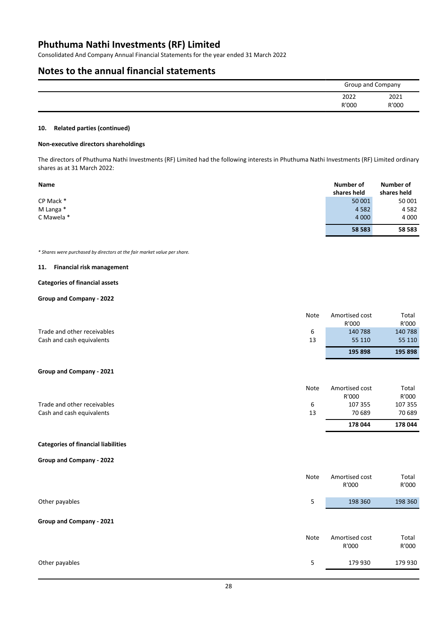Consolidated And Company Annual Financial Statements for the year ended 31 March 2022

# **Notes to the annual financial statements**

| Group and Company |               |
|-------------------|---------------|
| 2022<br>R'000     | 2021<br>R'000 |
|                   |               |

### **10. Related parties (continued)**

#### **Non-executive directors shareholdings**

The directors of Phuthuma Nathi Investments (RF) Limited had the following interests in Phuthuma Nathi Investments (RF) Limited ordinary shares as at 31 March 2022:

| <b>Name</b> | Number of<br>shares held | Number of<br>shares held |
|-------------|--------------------------|--------------------------|
| CP Mack *   | 50 001                   | 50 001                   |
| M Langa *   | 4 5 8 2                  | 4 5 8 2                  |
| C Mawela *  | 4 0 0 0                  | 4 0 0 0                  |
|             | 58 583                   | 58 583                   |

*\* Shares were purchased by directors at the fair market value per share.*

### **11. Financial risk management**

### **Categories of financial assets**

### **Group and Company - 2022**

|                             | Note | Amortised cost | Total   |
|-----------------------------|------|----------------|---------|
|                             |      | R'000          | R'000   |
| Trade and other receivables | 6    | 140 788        | 140 788 |
| Cash and cash equivalents   | 13   | 55 110         | 55 110  |
|                             |      | 195 898        | 195 898 |

# **Group and Company - 2021**

|                             | Note | Amortised cost<br>R'000 | Total<br>R'000 |
|-----------------------------|------|-------------------------|----------------|
| Trade and other receivables | ь    | 107 355                 | 107 355        |
| Cash and cash equivalents   | 13   | 70 689                  | 70 689         |
|                             |      | 178 044                 | 178 044        |

### **Categories of financial liabilities**

### **Group and Company - 2022**

| Note | Amortised cost<br>R'000 | Total<br>R'000 |
|------|-------------------------|----------------|
| 5    | 198 360                 | 198 360        |
|      |                         |                |
| Note | Amortised cost<br>R'000 | Total<br>R'000 |
| 5    | 179 930                 | 179 930        |
|      |                         |                |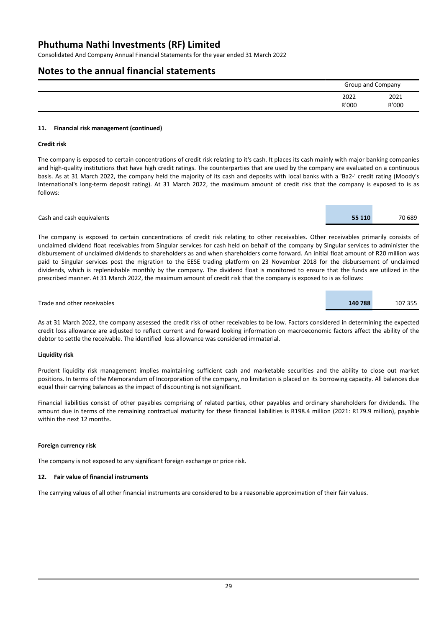Consolidated And Company Annual Financial Statements for the year ended 31 March 2022

# **Notes to the annual financial statements**

| Group and Company |       |
|-------------------|-------|
| 2022              | 2021  |
| R'000             | R'000 |

### **11. Financial risk management (continued)**

### **Credit risk**

The company is exposed to certain concentrations of credit risk relating to it's cash. It places its cash mainly with major banking companies and high-quality institutions that have high credit ratings. The counterparties that are used by the company are evaluated on a continuous basis. As at 31 March 2022, the company held the majority of its cash and deposits with local banks with a 'Ba2-' credit rating (Moody's International's long-term deposit rating). At 31 March 2022, the maximum amount of credit risk that the company is exposed to is as follows:

### Cash and cash equivalents **55 110** 70 689

The company is exposed to certain concentrations of credit risk relating to other receivables. Other receivables primarily consists of unclaimed dividend float receivables from Singular services for cash held on behalf of the company by Singular services to administer the disbursement of unclaimed dividends to shareholders as and when shareholders come forward. An initial float amount of R20 million was paid to Singular services post the migration to the EESE trading platform on 23 November 2018 for the disbursement of unclaimed dividends, which is replenishable monthly by the company. The dividend float is monitored to ensure that the funds are utilized in the prescribed manner. At 31 March 2022, the maximum amount of credit risk that the company is exposed to is as follows:

#### Trade and other receivables **140 788** 107 355

As at 31 March 2022, the company assessed the credit risk of other receivables to be low. Factors considered in determining the expected credit loss allowance are adjusted to reflect current and forward looking information on macroeconomic factors affect the ability of the debtor to settle the receivable. The identified loss allowance was considered immaterial.

### **Liquidity risk**

Prudent liquidity risk management implies maintaining sufficient cash and marketable securities and the ability to close out market positions. In terms of the Memorandum of Incorporation of the company, no limitation is placed on its borrowing capacity. All balances due equal their carrying balances as the impact of discounting is not significant.

Financial liabilities consist of other payables comprising of related parties, other payables and ordinary shareholders for dividends. The amount due in terms of the remaining contractual maturity for these financial liabilities is R198.4 million (2021: R179.9 million), payable within the next 12 months.

### **Foreign currency risk**

The company is not exposed to any significant foreign exchange or price risk.

### **12. Fair value of financial instruments**

The carrying values of all other financial instruments are considered to be a reasonable approximation of their fair values.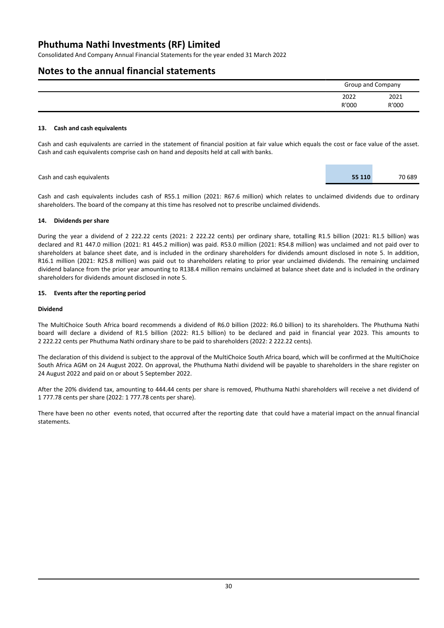Consolidated And Company Annual Financial Statements for the year ended 31 March 2022

# **Notes to the annual financial statements**

| Group and Company |       |
|-------------------|-------|
| 2022              | 2021  |
| R'000             | R'000 |

### **13. Cash and cash equivalents**

Cash and cash equivalents are carried in the statement of financial position at fair value which equals the cost or face value of the asset. Cash and cash equivalents comprise cash on hand and deposits held at call with banks.

Cash and cash equivalents **55 110** 70 689

Cash and cash equivalents includes cash of R55.1 million (2021: R67.6 million) which relates to unclaimed dividends due to ordinary shareholders. The board of the company at this time has resolved not to prescribe unclaimed dividends.

### **14. Dividends per share**

During the year a dividend of 2 222.22 cents (2021: 2 222.22 cents) per ordinary share, totalling R1.5 billion (2021: R1.5 billion) was declared and R1 447.0 million (2021: R1 445.2 million) was paid. R53.0 million (2021: R54.8 million) was unclaimed and not paid over to shareholders at balance sheet date, and is included in the ordinary shareholders for dividends amount disclosed in note 5. In addition, R16.1 million (2021: R25.8 million) was paid out to shareholders relating to prior year unclaimed dividends. The remaining unclaimed dividend balance from the prior year amounting to R138.4 million remains unclaimed at balance sheet date and is included in the ordinary shareholders for dividends amount disclosed in note 5.

### **15. Events after the reporting period**

### **Dividend**

The MultiChoice South Africa board recommends a dividend of R6.0 billion (2022: R6.0 billion) to its shareholders. The Phuthuma Nathi board will declare a dividend of R1.5 billion (2022: R1.5 billion) to be declared and paid in financial year 2023. This amounts to 2 222.22 cents per Phuthuma Nathi ordinary share to be paid to shareholders (2022: 2 222.22 cents).

The declaration of this dividend is subject to the approval of the MultiChoice South Africa board, which will be confirmed at the MultiChoice South Africa AGM on 24 August 2022. On approval, the Phuthuma Nathi dividend will be payable to shareholders in the share register on 24 August 2022 and paid on or about 5 September 2022.

After the 20% dividend tax, amounting to 444.44 cents per share is removed, Phuthuma Nathi shareholders will receive a net dividend of 1 777.78 cents per share (2022: 1 777.78 cents per share).

There have been no other events noted, that occurred after the reporting date that could have a material impact on the annual financial statements.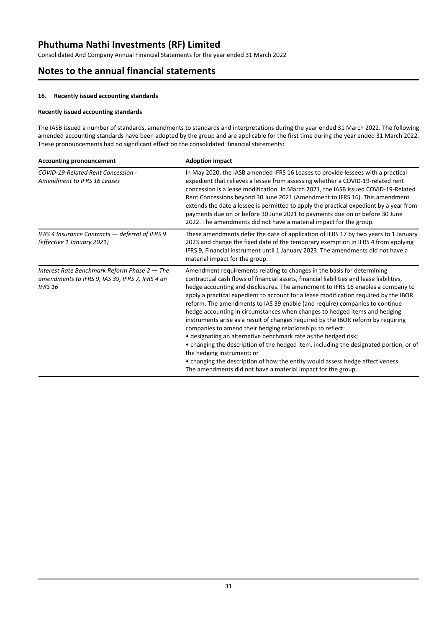Consolidated And Company Annual Financial Statements for the year ended 31 March 2022

# **Notes to the annual financial statements**

### **16. Recently issued accounting standards**

### **Recently issued accounting standards**

The IASB issued a number of standards, amendments to standards and interpretations during the year ended 31 March 2022. The following amended accounting standards have been adopted by the group and are applicable for the first time during the year ended 31 March 2022. These pronouncements had no significant effect on the consolidated financial statements:

| <b>Accounting pronouncement</b>                                                                                     | <b>Adoption impact</b>                                                                                                                                                                                                                                                                                                                                                                                                                                                                                                                                                                                                                                                                                                                                                                                                                                                                                                                                                                                     |
|---------------------------------------------------------------------------------------------------------------------|------------------------------------------------------------------------------------------------------------------------------------------------------------------------------------------------------------------------------------------------------------------------------------------------------------------------------------------------------------------------------------------------------------------------------------------------------------------------------------------------------------------------------------------------------------------------------------------------------------------------------------------------------------------------------------------------------------------------------------------------------------------------------------------------------------------------------------------------------------------------------------------------------------------------------------------------------------------------------------------------------------|
| COVID-19-Related Rent Concession -<br>Amendment to IFRS 16 Leases                                                   | In May 2020, the IASB amended IFRS 16 Leases to provide lessees with a practical<br>expedient that relieves a lessee from assessing whether a COVID-19-related rent<br>concession is a lease modification. In March 2021, the IASB issued COVID-19-Related<br>Rent Concessions beyond 30 June 2021 (Amendment to IFRS 16). This amendment<br>extends the date a lessee is permitted to apply the practical expedient by a year from<br>payments due on or before 30 June 2021 to payments due on or before 30 June<br>2022. The amendments did not have a material impact for the group.                                                                                                                                                                                                                                                                                                                                                                                                                   |
| IFRS 4 Insurance Contracts - deferral of IFRS 9<br>(effective 1 January 2021)                                       | These amendments defer the date of application of IFRS 17 by two years to 1 January<br>2023 and change the fixed date of the temporary exemption in IFRS 4 from applying<br>IFRS 9, Financial instrument until 1 January 2023. The amendments did not have a<br>material impact for the group.                                                                                                                                                                                                                                                                                                                                                                                                                                                                                                                                                                                                                                                                                                             |
| Interest Rate Benchmark Reform Phase $2$ – The<br>amendments to IFRS 9, IAS 39, IFRS 7, IFRS 4 an<br><b>IFRS 16</b> | Amendment requirements relating to changes in the basis for determining<br>contractual cash flows of financial assets, financial liabilities and lease liabilities,<br>hedge accounting and disclosures. The amendment to IFRS 16 enables a company to<br>apply a practical expedient to account for a lease modification required by the IBOR<br>reform. The amendments to IAS 39 enable (and require) companies to continue<br>hedge accounting in circumstances when changes to hedged items and hedging<br>instruments arise as a result of changes required by the IBOR reform by requiring<br>companies to amend their hedging relationships to reflect:<br>• designating an alternative benchmark rate as the hedged risk;<br>• changing the description of the hedged item, including the designated portion, or of<br>the hedging instrument; or<br>• changing the description of how the entity would assess hedge effectiveness<br>The amendments did not have a material impact for the group. |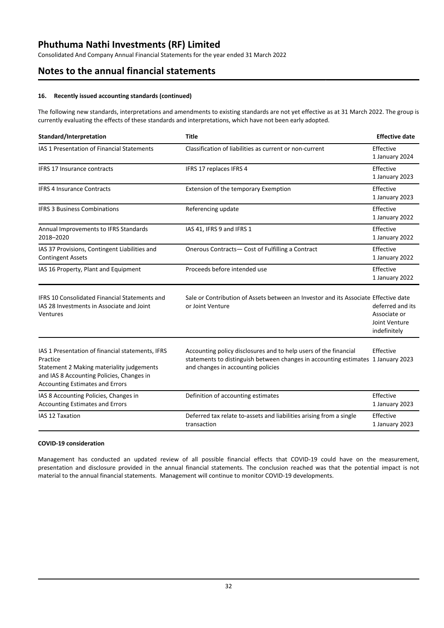Consolidated And Company Annual Financial Statements for the year ended 31 March 2022

# **Notes to the annual financial statements**

### **16. Recently issued accounting standards (continued)**

The following new standards, interpretations and amendments to existing standards are not yet effective as at 31 March 2022. The group is currently evaluating the effects of these standards and interpretations, which have not been early adopted.

| Standard/Interpretation                                                                                                                                                                          | <b>Title</b>                                                                                                                                                                               | <b>Effective date</b>                                             |
|--------------------------------------------------------------------------------------------------------------------------------------------------------------------------------------------------|--------------------------------------------------------------------------------------------------------------------------------------------------------------------------------------------|-------------------------------------------------------------------|
| IAS 1 Presentation of Financial Statements                                                                                                                                                       | Classification of liabilities as current or non-current                                                                                                                                    | Effective<br>1 January 2024                                       |
| <b>IFRS 17 Insurance contracts</b>                                                                                                                                                               | IFRS 17 replaces IFRS 4                                                                                                                                                                    | Effective<br>1 January 2023                                       |
| <b>IFRS 4 Insurance Contracts</b>                                                                                                                                                                | Extension of the temporary Exemption                                                                                                                                                       | Effective<br>1 January 2023                                       |
| <b>IFRS 3 Business Combinations</b>                                                                                                                                                              | Referencing update                                                                                                                                                                         | Effective<br>1 January 2022                                       |
| Annual Improvements to IFRS Standards<br>2018-2020                                                                                                                                               | IAS 41, IFRS 9 and IFRS 1                                                                                                                                                                  | Effective<br>1 January 2022                                       |
| IAS 37 Provisions, Contingent Liabilities and<br><b>Contingent Assets</b>                                                                                                                        | Onerous Contracts- Cost of Fulfilling a Contract                                                                                                                                           | Effective<br>1 January 2022                                       |
| IAS 16 Property, Plant and Equipment                                                                                                                                                             | Proceeds before intended use                                                                                                                                                               | Effective<br>1 January 2022                                       |
| <b>IFRS 10 Consolidated Financial Statements and</b><br>IAS 28 Investments in Associate and Joint<br>Ventures                                                                                    | Sale or Contribution of Assets between an Investor and its Associate Effective date<br>or Joint Venture                                                                                    | deferred and its<br>Associate or<br>Joint Venture<br>indefinitely |
| IAS 1 Presentation of financial statements, IFRS<br>Practice<br>Statement 2 Making materiality judgements<br>and IAS 8 Accounting Policies, Changes in<br><b>Accounting Estimates and Errors</b> | Accounting policy disclosures and to help users of the financial<br>statements to distinguish between changes in accounting estimates 1 January 2023<br>and changes in accounting policies | Effective                                                         |
| IAS 8 Accounting Policies, Changes in<br><b>Accounting Estimates and Errors</b>                                                                                                                  | Definition of accounting estimates                                                                                                                                                         | Effective<br>1 January 2023                                       |
| <b>IAS 12 Taxation</b>                                                                                                                                                                           | Deferred tax relate to-assets and liabilities arising from a single<br>transaction                                                                                                         | Effective<br>1 January 2023                                       |

### **COVID-19 consideration**

Management has conducted an updated review of all possible financial effects that COVID-19 could have on the measurement, presentation and disclosure provided in the annual financial statements. The conclusion reached was that the potential impact is not material to the annual financial statements. Management will continue to monitor COVID-19 developments.